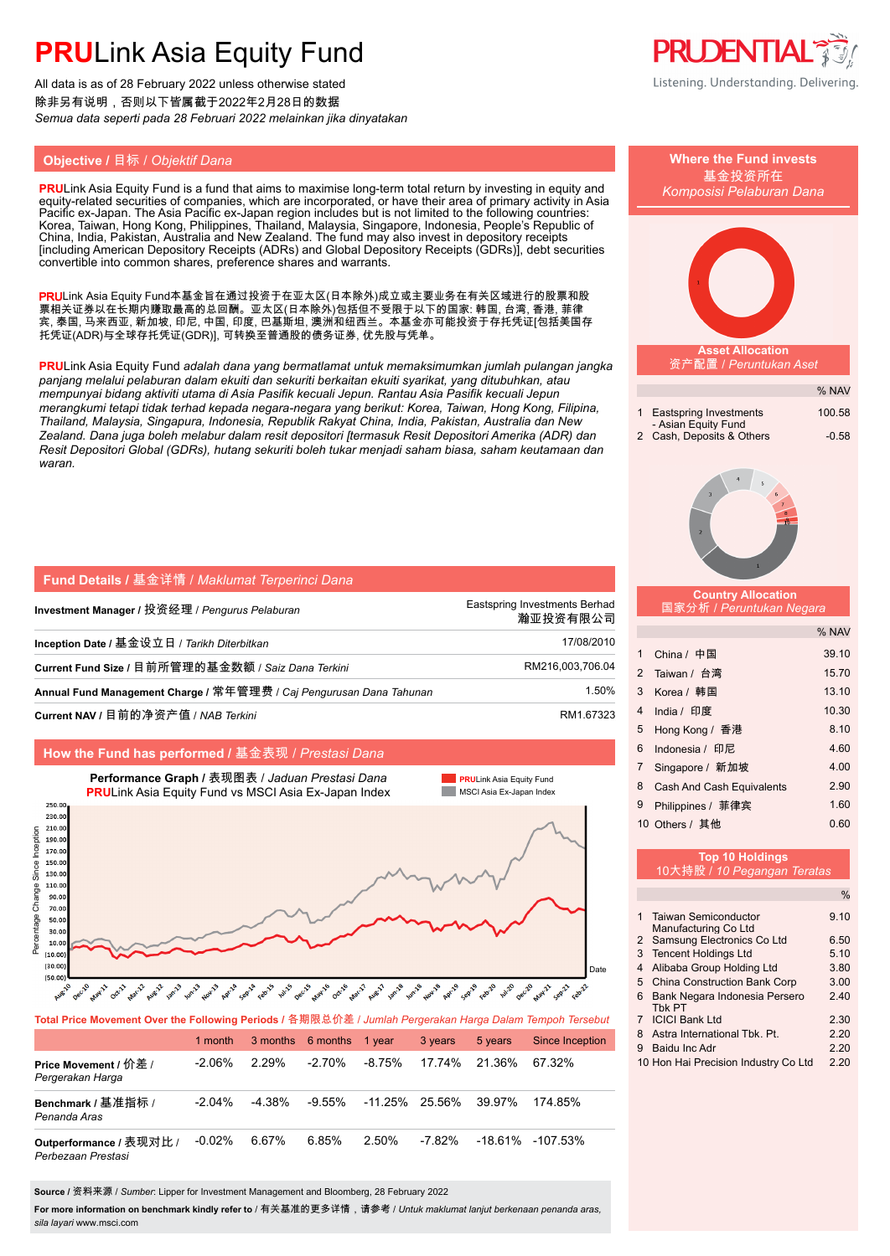All data is as of 28 February 2022 unless otherwise stated 除非另有说明,否则以下皆属截于2022年2月28日的数据 *Semua data seperti pada 28 Februari 2022 melainkan jika dinyatakan*

### **Objective /** 目标 / *Objektif Dana* **Where the Fund invests**

**PRU**Link Asia Equity Fund is a fund that aims to maximise long-term total return by investing in equity and equity-related securities of companies, which are incorporated, or have their area of primary activity in Asia Pacific ex-Japan. The Asia Pacific ex-Japan region includes but is not limited to the following countries: Korea, Taiwan, Hong Kong, Philippines, Thailand, Malaysia, Singapore, Indonesia, People's Republic of China, India, Pakistan, Australia and New Zealand. The fund may also invest in depository receipts [including American Depository Receipts (ADRs) and Global Depository Receipts (GDRs)], debt securities convertible into common shares, preference shares and warrants.

PRULink Asia Equity Fund本基金旨在通过投资于在亚太区(日本除外)成立或主要业务在有关区域进行的股票和股 票相关证券以在长期内赚取最高的总回酬。亚太区(日本除外)包括但不受限于以下的国家: 韩国, 台湾, 香港, 菲律 宾, 泰国, 马来西亚, 新加坡, 印尼, 中国, 印度, 巴基斯坦, 澳洲和纽西兰。本基金亦可能投资于存托凭证[包括美国存 托凭证(ADR)与全球存托凭证(GDR)], 可转换至普通股的债务证券, 优先股与凭单。

**PRU**Link Asia Equity Fund *adalah dana yang bermatlamat untuk memaksimumkan jumlah pulangan jangka panjang melalui pelaburan dalam ekuiti dan sekuriti berkaitan ekuiti syarikat, yang ditubuhkan, atau mempunyai bidang aktiviti utama di Asia Pasifik kecuali Jepun. Rantau Asia Pasifik kecuali Jepun merangkumi tetapi tidak terhad kepada negara-negara yang berikut: Korea, Taiwan, Hong Kong, Filipina, Thailand, Malaysia, Singapura, Indonesia, Republik Rakyat China, India, Pakistan, Australia dan New Zealand. Dana juga boleh melabur dalam resit depositori [termasuk Resit Depositori Amerika (ADR) dan Resit Depositori Global (GDRs), hutang sekuriti boleh tukar menjadi saham biasa, saham keutamaan dan waran.*

| <b>Fund Details / 基金详情 / Maklumat Terperinci Dana</b>               |                                           |
|---------------------------------------------------------------------|-------------------------------------------|
| Investment Manager / 投资经理 / Pengurus Pelaburan                      | Eastspring Investments Berhad<br>瀚亚投资有限公司 |
| Inception Date / 基金设立日 / Tarikh Diterbitkan                         | 17/08/2010                                |
| Current Fund Size / 目前所管理的基金数额 / Saiz Dana Terkini                  | RM216,003,706.04                          |
| Annual Fund Management Charge / 常年管理费 / Caj Pengurusan Dana Tahunan | 1.50%                                     |
| Current NAV / 目前的净资产值 / NAB Terkini                                 | RM1.67323                                 |

#### **How the Fund has performed /** 基金表现 / *Prestasi Dana*



| Total Price Movement Over the Following Periods / 各期限总价差 / Jumlah Pergerakan Harga Dalam Tempoh Tersebut |           |           |                          |          |         |         |                      |  |
|----------------------------------------------------------------------------------------------------------|-----------|-----------|--------------------------|----------|---------|---------|----------------------|--|
|                                                                                                          | 1 month   |           | 3 months 6 months 1 year |          | 3 years | 5 years | Since Inception      |  |
| Price Movement / 价差 /<br>Pergerakan Harga                                                                | $-2.06\%$ | 2.29%     | $-2.70\%$                | $-8.75%$ | 17.74%  | 21.36%  | 67.32%               |  |
| Benchmark / 基准指标 /<br>Penanda Aras                                                                       | $-2.04\%$ | $-4.38\%$ | $-9.55\%$                | -11.25%  | 25.56%  | 39.97%  | 174 85%              |  |
| Outperformance / 表现对比 /<br>Perbezaan Prestasi                                                            | $-0.02%$  | 6.67%     | 6.85%                    | 2.50%    | -7.82%  |         | $-18.61\% -107.53\%$ |  |

**For more information on benchmark kindly refer to** / 有关基准的更多详情,请参考 / *Untuk maklumat lanjut berkenaan penanda aras,* 

*sila layari* www.msci.com

**Source /** 资料来源 / *Sumber*: Lipper for Investment Management and Bloomberg, 28 February 2022





|   |                                      | ℆    |
|---|--------------------------------------|------|
|   | 1 Taiwan Semiconductor               | 9.10 |
|   | Manufacturing Co Ltd                 |      |
|   | 2 Samsung Electronics Co Ltd         | 6.50 |
| 3 | Tencent Holdings Ltd                 | 5.10 |
| 4 | Alibaba Group Holding Ltd            | 3.80 |
| 5 | <b>China Construction Bank Corp</b>  | 3.00 |
| 6 | Bank Negara Indonesia Persero        | 240  |
|   | Thk PT                               |      |
|   | <b>ICICI Bank Ltd</b>                | 2.30 |
| 8 | Astra International Thk Pt           | 2.20 |
| 9 | Baidu Inc Adr                        | 2.20 |
|   | 10 Hon Hai Precision Industry Co Ltd | 2.20 |



基金投资所在 *Komposisi Pelaburan Dana*

**Asset Allocation** 资产配置 / *Peruntukan Aset*

1 Eastspring Investments 100.58

2 Cash, Deposits & Others -0.58

 **Country Allocation** 国家分析 / *Peruntukan Negara*

- Asian Equity Fund

% NAV

% NAV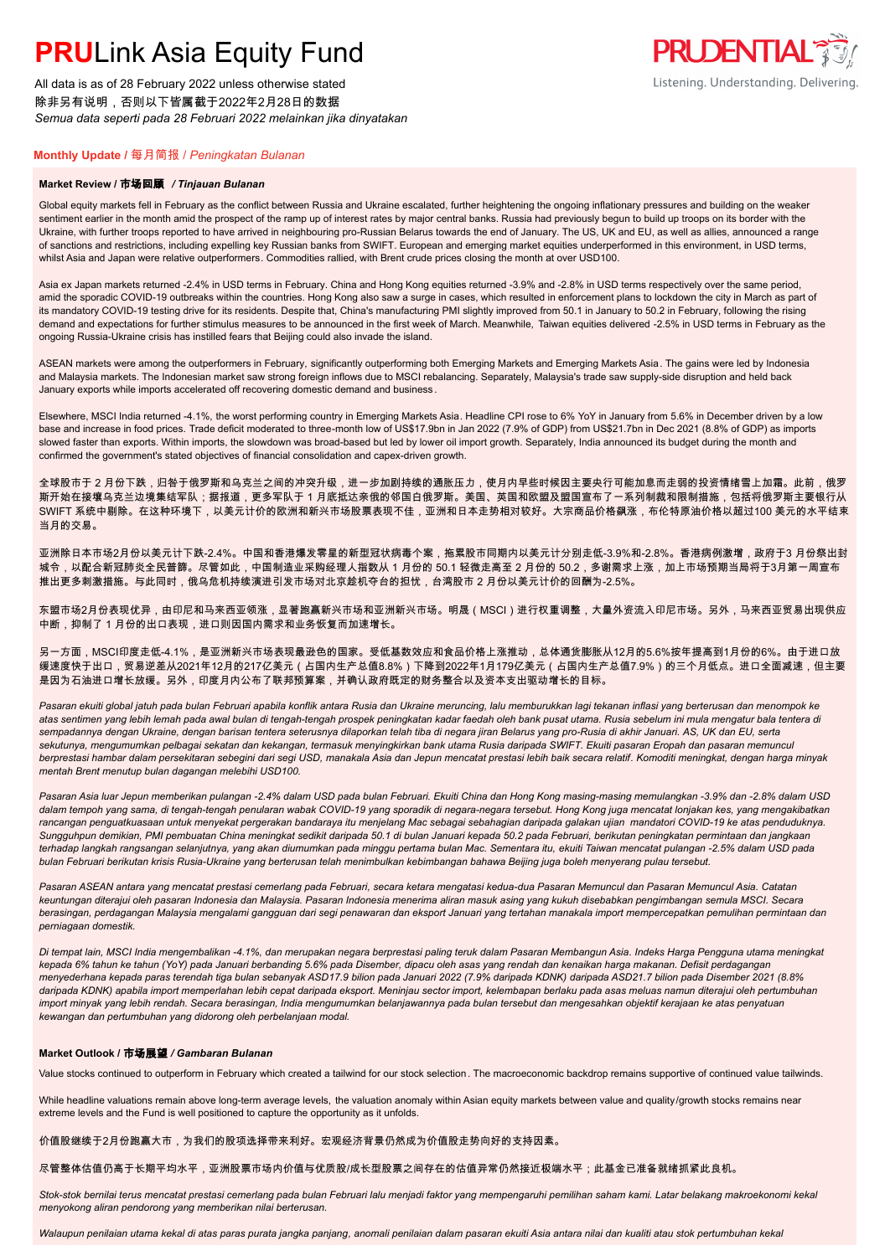All data is as of 28 February 2022 unless otherwise stated 除非另有说明,否则以下皆属截于2022年2月28日的数据 *Semua data seperti pada 28 Februari 2022 melainkan jika dinyatakan*

### **PRUDENTIAL 3** Listening. Understanding. Delivering.

#### **Monthly Update /** 每月简报 / *Peningkatan Bulanan*

#### **Market Review /** 市场回顾 */ Tinjauan Bulanan*

Global equity markets fell in February as the conflict between Russia and Ukraine escalated, further heightening the ongoing inflationary pressures and building on the weaker sentiment earlier in the month amid the prospect of the ramp up of interest rates by major central banks. Russia had previously begun to build up troops on its border with the Ukraine, with further troops reported to have arrived in neighbouring pro-Russian Belarus towards the end of January. The US, UK and EU, as well as allies, announced a range of sanctions and restrictions, including expelling key Russian banks from SWIFT. European and emerging market equities underperformed in this environment, in USD terms, whilst Asia and Japan were relative outperformers. Commodities rallied, with Brent crude prices closing the month at over USD100.

Asia ex Japan markets returned -2.4% in USD terms in February. China and Hong Kong equities returned -3.9% and -2.8% in USD terms respectively over the same period, amid the sporadic COVID-19 outbreaks within the countries. Hong Kong also saw a surge in cases, which resulted in enforcement plans to lockdown the city in March as part of its mandatory COVID-19 testing drive for its residents. Despite that, China's manufacturing PMI slightly improved from 50.1 in January to 50.2 in February, following the rising demand and expectations for further stimulus measures to be announced in the first week of March. Meanwhile, Taiwan equities delivered -2.5% in USD terms in February as the ongoing Russia-Ukraine crisis has instilled fears that Beijing could also invade the island.

ASEAN markets were among the outperformers in February, significantly outperforming both Emerging Markets and Emerging Markets Asia. The gains were led by Indonesia and Malaysia markets. The Indonesian market saw strong foreign inflows due to MSCI rebalancing. Separately, Malaysia's trade saw supply-side disruption and held back January exports while imports accelerated off recovering domestic demand and business .

Elsewhere, MSCI India returned -4.1%, the worst performing country in Emerging Markets Asia. Headline CPI rose to 6% YoY in January from 5.6% in December driven by a low base and increase in food prices. Trade deficit moderated to three-month low of US\$17.9bn in Jan 2022 (7.9% of GDP) from US\$21.7bn in Dec 2021 (8.8% of GDP) as imports slowed faster than exports. Within imports, the slowdown was broad-based but led by lower oil import growth. Separately, India announced its budget during the month and confirmed the government's stated objectives of financial consolidation and capex-driven growth.

全球股市于 2 月份下跌,归咎于俄罗斯和乌克兰之间的冲突升级,进一步加剧持续的通胀压力,使月内早些时候因主要央行可能加息而走弱的投资情绪雪上加霜。此前,俄罗 斯开始在接壤乌克兰边境集结军队;据报道,更多军队于 1 月底抵达亲俄的邻国白俄罗斯。美国、英国和欧盟及盟国宣布了一系列制裁和限制措施,包括将俄罗斯主要银行从 SWIFT 系统中剔除。在这种环境下,以美元计价的欧洲和新兴市场股票表现不佳,亚洲和日本走势相对较好。大宗商品价格飙涨,布伦特原油价格以超过100 美元的水平结束 当月的交易。

亚洲除日本市场2月份以美元计下跌-2.4%。中国和香港爆发零星的新型冠状病毒个案,拖累股市同期内以美元计分别走低-3.9%和-2.8%。香港病例激增,政府于3 月份祭出封 城令,以配合新冠肺炎全民普篩。尽管如此,中国制造业采购经理人指数从 1 月份的 50.1 轻微走高至 2 月份的 50.2,多谢需求上涨,加上市场预期当局将于3月第一周宣布 推出更多刺激措施。与此同时,俄乌危机持续演进引发市场对北京趁机夺台的担忧,台湾股市 2 月份以美元计价的回酬为-2.5%。

东盟市场2月份表现优异,由印尼和马来西亚领涨,显著跑赢新兴市场和亚洲新兴市场。明晟(MSCI)进行权重调整,大量外资流入印尼市场。另外,马来西亚贸易出现供应 中断,抑制了 1 月份的出口表现,进口则因国内需求和业务恢复而加速增长。

另一方面,MSCI印度走低-4.1%,是亚洲新兴市场表现最逊色的国家。受低基数效应和食品价格上涨推动,总体通货膨胀从12月的5.6%按年提高到1月份的6%。由于进口放 缓速度快于出口,贸易逆差从2021年12月的217亿美元(占国内生产总值8.8%)下降到2022年1月179亿美元(占国内生产总值7.9%)的三个月低点。进口全面减速,但主要 是因为石油进口增长放缓。另外,印度月内公布了联邦预算案,并确认政府既定的财务整合以及资本支出驱动增长的目标。

*Pasaran ekuiti global jatuh pada bulan Februari apabila konflik antara Rusia dan Ukraine meruncing, lalu memburukkan lagi tekanan inflasi yang berterusan dan menompok ke atas sentimen yang lebih lemah pada awal bulan di tengah-tengah prospek peningkatan kadar faedah oleh bank pusat utama. Rusia sebelum ini mula mengatur bala tentera di sempadannya dengan Ukraine, dengan barisan tentera seterusnya dilaporkan telah tiba di negara jiran Belarus yang pro-Rusia di akhir Januari. AS, UK dan EU, serta sekutunya, mengumumkan pelbagai sekatan dan kekangan, termasuk menyingkirkan bank utama Rusia daripada SWIFT. Ekuiti pasaran Eropah dan pasaran memuncul berprestasi hambar dalam persekitaran sebegini dari segi USD, manakala Asia dan Jepun mencatat prestasi lebih baik secara relatif. Komoditi meningkat, dengan harga minyak mentah Brent menutup bulan dagangan melebihi USD100.*

*Pasaran Asia luar Jepun memberikan pulangan -2.4% dalam USD pada bulan Februari. Ekuiti China dan Hong Kong masing-masing memulangkan -3.9% dan -2.8% dalam USD dalam tempoh yang sama, di tengah-tengah penularan wabak COVID-19 yang sporadik di negara-negara tersebut. Hong Kong juga mencatat lonjakan kes, yang mengakibatkan rancangan penguatkuasaan untuk menyekat pergerakan bandaraya itu menjelang Mac sebagai sebahagian daripada galakan ujian mandatori COVID-19 ke atas penduduknya. Sungguhpun demikian, PMI pembuatan China meningkat sedikit daripada 50.1 di bulan Januari kepada 50.2 pada Februari, berikutan peningkatan permintaan dan jangkaan terhadap langkah rangsangan selanjutnya, yang akan diumumkan pada minggu pertama bulan Mac. Sementara itu, ekuiti Taiwan mencatat pulangan -2.5% dalam USD pada bulan Februari berikutan krisis Rusia-Ukraine yang berterusan telah menimbulkan kebimbangan bahawa Beijing juga boleh menyerang pulau tersebut.*

*Pasaran ASEAN antara yang mencatat prestasi cemerlang pada Februari, secara ketara mengatasi kedua-dua Pasaran Memuncul dan Pasaran Memuncul Asia. Catatan keuntungan diterajui oleh pasaran Indonesia dan Malaysia. Pasaran Indonesia menerima aliran masuk asing yang kukuh disebabkan pengimbangan semula MSCI. Secara berasingan, perdagangan Malaysia mengalami gangguan dari segi penawaran dan eksport Januari yang tertahan manakala import mempercepatkan pemulihan permintaan dan perniagaan domestik.*

*Di tempat lain, MSCI India mengembalikan -4.1%, dan merupakan negara berprestasi paling teruk dalam Pasaran Membangun Asia. Indeks Harga Pengguna utama meningkat kepada 6% tahun ke tahun (YoY) pada Januari berbanding 5.6% pada Disember, dipacu oleh asas yang rendah dan kenaikan harga makanan. Defisit perdagangan menyederhana kepada paras terendah tiga bulan sebanyak ASD17.9 bilion pada Januari 2022 (7.9% daripada KDNK) daripada ASD21.7 bilion pada Disember 2021 (8.8%*  daripada KDNK) apabila import memperlahan lebih cepat daripada eksport. Meninjau sector import, kelembapan berlaku pada asas meluas namun diterajui oleh pertumbuhan *import minyak yang lebih rendah. Secara berasingan, India mengumumkan belanjawannya pada bulan tersebut dan mengesahkan objektif kerajaan ke atas penyatuan kewangan dan pertumbuhan yang didorong oleh perbelanjaan modal.*

#### **Market Outlook /** 市场展望 */ Gambaran Bulanan*

Value stocks continued to outperform in February which created a tailwind for our stock selection . The macroeconomic backdrop remains supportive of continued value tailwinds.

While headline valuations remain above long-term average levels, the valuation anomaly within Asian equity markets between value and quality/growth stocks remains near extreme levels and the Fund is well positioned to capture the opportunity as it unfolds.

#### 价值股继续于2月份跑赢大市,为我们的股项选择带来利好。宏观经济背景仍然成为价值股走势向好的支持因素。

尽管整体估值仍高于长期平均水平,亚洲股票市场内价值与优质股/成长型股票之间存在的估值异常仍然接近极端水平;此基金已准备就绪抓紧此良机。

*Stok-stok bernilai terus mencatat prestasi cemerlang pada bulan Februari lalu menjadi faktor yang mempengaruhi pemilihan saham kami. Latar belakang makroekonomi kekal menyokong aliran pendorong yang memberikan nilai berterusan.*

*Walaupun penilaian utama kekal di atas paras purata jangka panjang, anomali penilaian dalam pasaran ekuiti Asia antara nilai dan kualiti atau stok pertumbuhan kekal*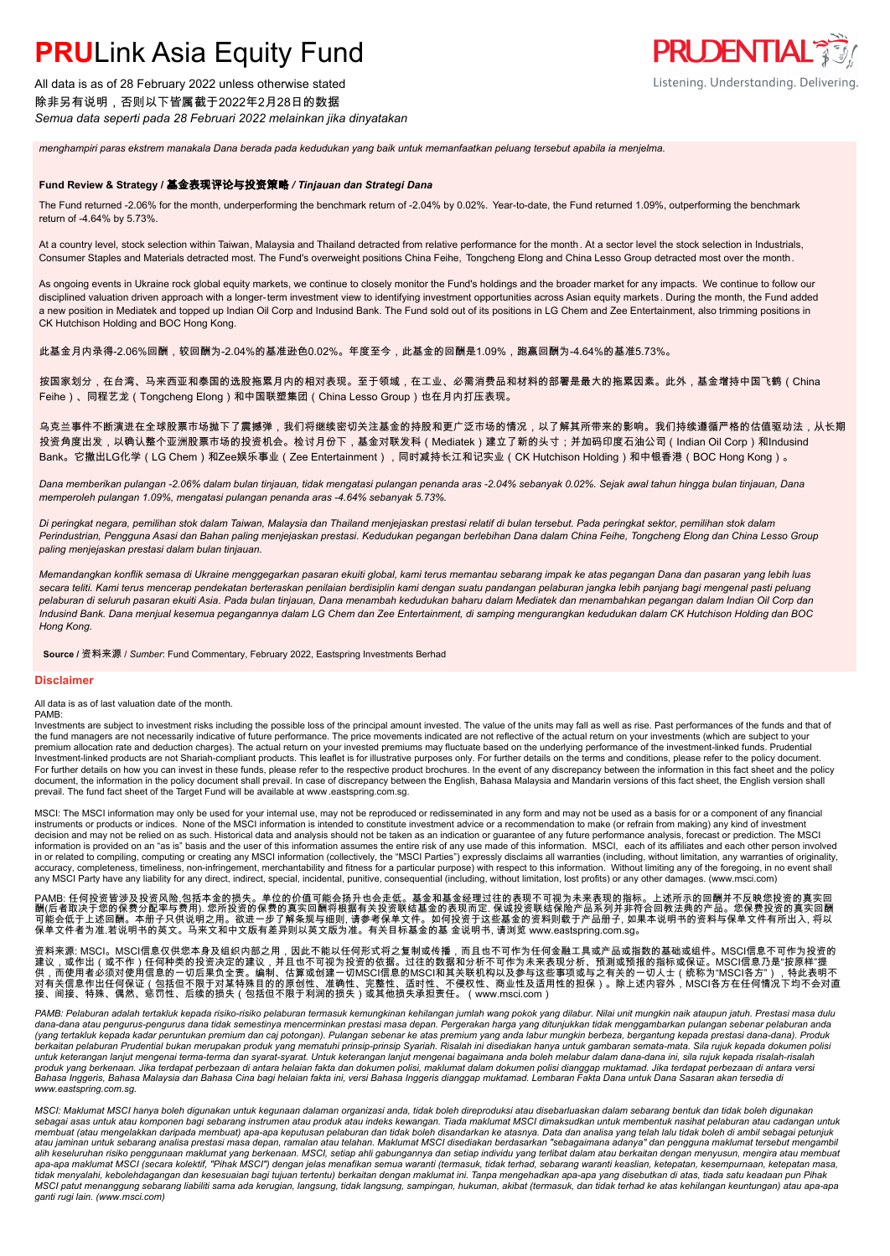All data is as of 28 February 2022 unless otherwise stated 除非另有说明,否则以下皆属截于2022年2月28日的数据 *Semua data seperti pada 28 Februari 2022 melainkan jika dinyatakan*

*menghampiri paras ekstrem manakala Dana berada pada kedudukan yang baik untuk memanfaatkan peluang tersebut apabila ia menjelma.*

### **Fund Review & Strategy /** 基金表现评论与投资策略 */ Tinjauan dan Strategi Dana*

The Fund returned -2.06% for the month, underperforming the benchmark return of -2.04% by 0.02%. Year-to-date, the Fund returned 1.09%, outperforming the benchmark return of -4.64% by 5.73%.

**PRUDENTIAL 3** 

Listening. Understanding. Delivering.

At a country level, stock selection within Taiwan, Malaysia and Thailand detracted from relative performance for the month. At a sector level the stock selection in Industrials, Consumer Staples and Materials detracted most. The Fund's overweight positions China Feihe, Tongcheng Elong and China Lesso Group detracted most over the month.

As ongoing events in Ukraine rock global equity markets, we continue to closely monitor the Fund's holdings and the broader market for any impacts. We continue to follow our disciplined valuation driven approach with a longer-term investment view to identifying investment opportunities across Asian equity markets. During the month, the Fund added a new position in Mediatek and topped up Indian Oil Corp and Indusind Bank. The Fund sold out of its positions in LG Chem and Zee Entertainment, also trimming positions in CK Hutchison Holding and BOC Hong Kong.

此基金月内录得-2.06%回酬,较回酬为-2.04%的基准逊色0.02%。年度至今,此基金的回酬是1.09%,跑赢回酬为-4.64%的基准5.73%。

按国家划分,在台湾、马来西亚和泰国的选股拖累月内的相对表现。至于领域,在工业、必需消费品和材料的部署是最大的拖累因素。此外,基金增持中国飞鹤(China Feihe)、同程艺龙(Tongcheng Elong)和中国联塑集团(China Lesso Group)也在月内打压表现。

乌克兰事件不断演进在全球股票市场抛下了震撼弹,我们将继续密切关注基金的持股和更广泛市场的情况,以了解其所带来的影响。我们持续遵循严格的估值驱动法,从长期 投资角度出发,以确认整个亚洲股票市场的投资机会。检讨月份下,基金对联发科(Mediatek)建立了新的头寸;并加码印度石油公司(Indian Oil Corp)和Indusind Bank。它撤出LG化学(LG Chem)和Zee娱乐事业(Zee Entertainment),同时减持长江和记实业(CK Hutchison Holding)和中银香港(BOC Hong Kong)。

*Dana memberikan pulangan -2.06% dalam bulan tinjauan, tidak mengatasi pulangan penanda aras -2.04% sebanyak 0.02%. Sejak awal tahun hingga bulan tinjauan, Dana memperoleh pulangan 1.09%, mengatasi pulangan penanda aras -4.64% sebanyak 5.73%.*

*Di peringkat negara, pemilihan stok dalam Taiwan, Malaysia dan Thailand menjejaskan prestasi relatif di bulan tersebut. Pada peringkat sektor, pemilihan stok dalam Perindustrian, Pengguna Asasi dan Bahan paling menjejaskan prestasi. Kedudukan pegangan berlebihan Dana dalam China Feihe, Tongcheng Elong dan China Lesso Group paling menjejaskan prestasi dalam bulan tinjauan.*

*Memandangkan konflik semasa di Ukraine menggegarkan pasaran ekuiti global, kami terus memantau sebarang impak ke atas pegangan Dana dan pasaran yang lebih luas secara teliti. Kami terus mencerap pendekatan berteraskan penilaian berdisiplin kami dengan suatu pandangan pelaburan jangka lebih panjang bagi mengenal pasti peluang pelaburan di seluruh pasaran ekuiti Asia. Pada bulan tinjauan, Dana menambah kedudukan baharu dalam Mediatek dan menambahkan pegangan dalam Indian Oil Corp dan Indusind Bank. Dana menjual kesemua pegangannya dalam LG Chem dan Zee Entertainment, di samping mengurangkan kedudukan dalam CK Hutchison Holding dan BOC Hong Kong.*

**Source /** 资料来源 / *Sumber*: Fund Commentary, February 2022, Eastspring Investments Berhad

#### **Disclaimer**

#### All data is as of last valuation date of the month. PAMB:

Investments are subject to investment risks including the possible loss of the principal amount invested. The value of the units may fall as well as rise. Past performances of the funds and that of the fund managers are not necessarily indicative of future performance. The price movements indicated are not reflective of the actual return on your investments (which are subject to your premium allocation rate and deduction charges). The actual return on your invested premiums may fluctuate based on the underlying performance of the investment-linked funds. Prudential Investment-linked products are not Shariah-compliant products. This leaflet is for illustrative purposes only. For further details on the terms and conditions, please refer to the policy document. For further details on how you can invest in these funds, please refer to the respective product brochures. In the event of any discrepancy between the information in this fact sheet and the policy document, the information in the policy document shall prevail. In case of discrepancy between the English, Bahasa Malaysia and Mandarin versions of this fact sheet, the English version shall prevail. The fund fact sheet of the Target Fund will be available at www .eastspring.com.sg.

MSCI: The MSCI information may only be used for your internal use, may not be reproduced or redisseminated in any form and may not be used as a basis for or a component of any financial instruments or products or indices. None of the MSCI information is intended to constitute investment advice or a recommendation to make (or refrain from making) any kind of investment decision and may not be relied on as such. Historical data and analysis should not be taken as an indication or guarantee of any future performance analysis, forecast or prediction. The MSCI information is provided on an "as is" basis and the user of this information assumes the entire risk of any use made of this information. MSCI, each of its affiliates and each other person involved in or related to compiling, computing or creating any MSCI information (collectively, the "MSCI Parties") expressly disclaims all warranties (including, without limitation, any warranties of originality,<br>accuracy, complete any MSCI Party have any liability for any direct, indirect, special, incidental, punitive, consequential (including, without limitation, lost profits) or any other damages. (www.msci.com)

PAMB: 任何投资皆涉及投资风险,包括本金的损失。单位的价值可能会扬升也会走低。基金和基金经理过往的表现不可视为未来表现的指标。上述所示的回酬并不反映您投资的真实回<br>酬(后者取决于您的保费分配率与费用). 您所投资的保费的真实回酬将根据有关投资联结基金的表现而定. 保诚投资联结保险产品系列并非符合回教法典的产品。您保费投资的真实回酬<br>可能会低于上述回酬。本册子只供说明之用。欲进一步了解条规与细则, 请参考保单文件。如何投资于这些基金的资

资料来源: MSCI。MSCI信息仅供您本身及组织内部之用,因此不能以任何形式将之复制或传播,而且也不可作为任何金融工具或产品或指数的基础或组件。MSCI信息不可作为投资的<br>建议,或作出(或不作)任何种类的投资决定的建议,并且也不可视为投资的依据。过往的数据和分析不可作为未来表现分析、预测或预报的指标或保证。MSCI信息乃是"按原样"提<br>供,而使用者必须对使用信息的一切后果负全责。编制、估算或创建一切MSCI信息的MSCI和其关联机构以及 接、间接、特殊、偶然、惩罚性、后续的损失(包括但不限于利润的损失)或其他损失承担责任。(www.msci.com)

PAMB: Pelaburan adalah tertakluk kepada risiko-risiko pelaburan termasuk kemungkinan kehilangan jumlah wang pokok yang dilabur. Nilai unit mungkin naik ataupun jatuh. Prestasi masa dulu<br>dana-dana atau pengurus-pengurus dan (yang tertakluk kepada kadar peruntukan premium dan caj potongan). Pulangan sebenar ke atas premium yang anda labur mungkin berbeza, bergantung kepada prestasi dana-dana). Produk<br>berkaitan pelaburan Prudential bukan merupa *www.eastspring.com.sg.*

*MSCI: Maklumat MSCI hanya boleh digunakan untuk kegunaan dalaman organizasi anda, tidak boleh direproduksi atau disebarluaskan dalam sebarang bentuk dan tidak boleh digunakan*  sebagai asas untuk atau komponen bagi sebarang instrumen atau produk atau indeks kewangan. Tiada maklumat MSCI dimaksudkan untuk membentuk nasihat pelaburan atau cadangan untuk<br>membuat (atau mengelakkan daripada membuat) a *atau jaminan untuk sebarang analisa prestasi masa depan, ramalan atau telahan. Maklumat MSCI disediakan berdasarkan "sebagaimana adanya" dan pengguna maklumat tersebut mengambil*  alih keseluruhan risiko penggunaan maklumat yang berkenaan. MSCI, setiap ahli gabungannya dan setip individu yang terlibat dalam atau berkaitan dengan menyusun, mengira atau membuat<br>apa-apa maklumat MSCI (secara kolektif, tidak menyalahi, kebolehdagangan dan kesesuaian bagi tujuan tertentu) berkaitan dengan maklumat ini. Tanpa mengehadkan apa-apa yang disebutkan di atas, tiada satu keadaan pun Pihak<br>MSCI patut menanggung sebarang liabiliti *ganti rugi lain. (www.msci.com)*